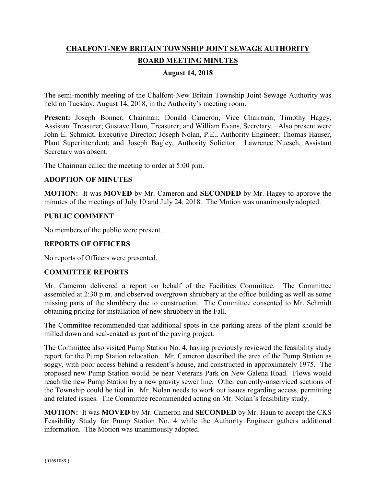# **CHALFONT-NEW BRITAIN TOWNSHIP JOINT SEWAGE AUTHORITY BOARD MEETING MINUTES**

#### **August 14, 2018**

The semi-monthly meeting of the Chalfont-New Britain Township Joint Sewage Authority was held on Tuesday, August 14, 2018, in the Authority's meeting room.

Present: Joseph Bonner, Chairman; Donald Cameron, Vice Chairman; Timothy Hagey, Assistant Treasurer; Gustave Haun, Treasurer; and William Evans, Secretary. Also present were John E. Schmidt, Executive Director; Joseph Nolan, P.E., Authority Engineer; Thomas Hauser, Plant Superintendent; and Joseph Bagley, Authority Solicitor. Lawrence Nuesch, Assistant Secretary was absent.

The Chairman called the meeting to order at 5:00 p.m.

#### **ADOPTION OF MINUTES**

**MOTION:** It was **MOVED** by Mr. Cameron and **SECONDED** by Mr. Hagey to approve the minutes of the meetings of July 10 and July 24, 2018. The Motion was unanimously adopted.

#### **PUBLIC COMMENT**

No members of the public were present.

## **REPORTS OF OFFICERS**

No reports of Officers were presented.

#### **COMMITTEE REPORTS**

Mr. Cameron delivered a report on behalf of the Facilities Committee. The Committee assembled at 2:30 p.m. and observed overgrown shrubbery at the office building as well as some missing parts of the shrubbery due to construction. The Committee consented to Mr. Schmidt obtaining pricing for installation of new shrubbery in the Fall.

The Committee recommended that additional spots in the parking areas of the plant should be milled down and seal-coated as part of the paving project.

The Committee also visited Pump Station No. 4, having previously reviewed the feasibility study report for the Pump Station relocation. Mr. Cameron described the area of the Pump Station as soggy, with poor access behind a resident's house, and constructed in approximately 1975. The proposed new Pump Station would be near Veterans Park on New Galena Road. Flows would reach the new Pump Station by a new gravity sewer line. Other currently-unserviced sections of the Township could be tied in. Mr. Nolan needs to work out issues regarding access, permitting and related issues. The Committee recommended acting on Mr. Nolan's feasibility study.

**MOTION:** It was **MOVED** by Mr. Cameron and **SECONDED** by Mr. Haun to accept the CKS Feasibility Study for Pump Station No. 4 while the Authority Engineer gathers additional information. The Motion was unanimously adopted.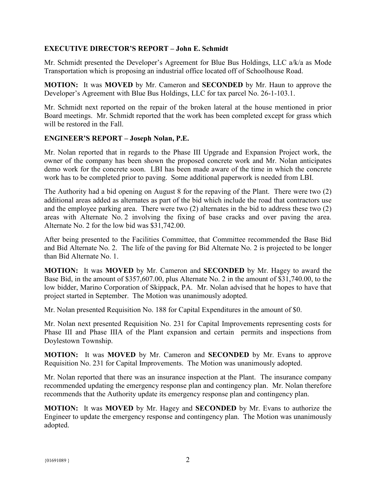## **EXECUTIVE DIRECTOR'S REPORT – John E. Schmidt**

Mr. Schmidt presented the Developer's Agreement for Blue Bus Holdings, LLC a/k/a as Mode Transportation which is proposing an industrial office located off of Schoolhouse Road.

**MOTION:** It was **MOVED** by Mr. Cameron and **SECONDED** by Mr. Haun to approve the Developer's Agreement with Blue Bus Holdings, LLC for tax parcel No. 26-1-103.1.

Mr. Schmidt next reported on the repair of the broken lateral at the house mentioned in prior Board meetings. Mr. Schmidt reported that the work has been completed except for grass which will be restored in the Fall.

#### **ENGINEER'S REPORT – Joseph Nolan, P.E.**

Mr. Nolan reported that in regards to the Phase III Upgrade and Expansion Project work, the owner of the company has been shown the proposed concrete work and Mr. Nolan anticipates demo work for the concrete soon. LBI has been made aware of the time in which the concrete work has to be completed prior to paving. Some additional paperwork is needed from LBI.

The Authority had a bid opening on August 8 for the repaving of the Plant. There were two (2) additional areas added as alternates as part of the bid which include the road that contractors use and the employee parking area. There were two (2) alternates in the bid to address these two (2) areas with Alternate No. 2 involving the fixing of base cracks and over paving the area. Alternate No. 2 for the low bid was \$31,742.00.

After being presented to the Facilities Committee, that Committee recommended the Base Bid and Bid Alternate No. 2. The life of the paving for Bid Alternate No. 2 is projected to be longer than Bid Alternate No. 1.

**MOTION:** It was **MOVED** by Mr. Cameron and **SECONDED** by Mr. Hagey to award the Base Bid, in the amount of \$357,607.00, plus Alternate No. 2 in the amount of \$31,740.00, to the low bidder, Marino Corporation of Skippack, PA. Mr. Nolan advised that he hopes to have that project started in September. The Motion was unanimously adopted.

Mr. Nolan presented Requisition No. 188 for Capital Expenditures in the amount of \$0.

Mr. Nolan next presented Requisition No. 231 for Capital Improvements representing costs for Phase III and Phase IIIA of the Plant expansion and certain permits and inspections from Doylestown Township.

**MOTION:** It was **MOVED** by Mr. Cameron and **SECONDED** by Mr. Evans to approve Requisition No. 231 for Capital Improvements. The Motion was unanimously adopted.

Mr. Nolan reported that there was an insurance inspection at the Plant. The insurance company recommended updating the emergency response plan and contingency plan. Mr. Nolan therefore recommends that the Authority update its emergency response plan and contingency plan.

**MOTION:** It was **MOVED** by Mr. Hagey and **SECONDED** by Mr. Evans to authorize the Engineer to update the emergency response and contingency plan. The Motion was unanimously adopted.